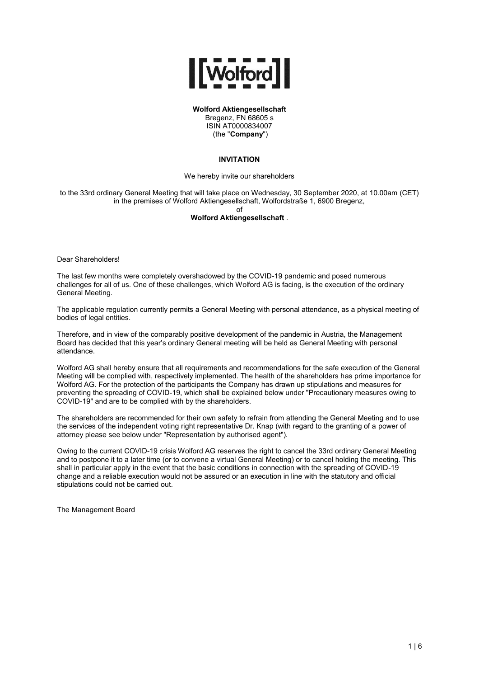

**Wolford Aktiengesellschaft**

Bregenz, FN 68605 s ISIN AT0000834007 (the "**Company**")

## **INVITATION**

We hereby invite our shareholders

to the 33rd ordinary General Meeting that will take place on Wednesday, 30 September 2020, at 10.00am (CET) in the premises of Wolford Aktiengesellschaft, Wolfordstraße 1, 6900 Bregenz,

of

# **Wolford Aktiengesellschaft** .

Dear Shareholders!

The last few months were completely overshadowed by the COVID-19 pandemic and posed numerous challenges for all of us. One of these challenges, which Wolford AG is facing, is the execution of the ordinary General Meeting.

The applicable regulation currently permits a General Meeting with personal attendance, as a physical meeting of bodies of legal entities.

Therefore, and in view of the comparably positive development of the pandemic in Austria, the Management Board has decided that this year's ordinary General meeting will be held as General Meeting with personal attendance.

Wolford AG shall hereby ensure that all requirements and recommendations for the safe execution of the General Meeting will be complied with, respectively implemented. The health of the shareholders has prime importance for Wolford AG. For the protection of the participants the Company has drawn up stipulations and measures for preventing the spreading of COVID-19, which shall be explained below under "Precautionary measures owing to COVID-19" and are to be complied with by the shareholders.

The shareholders are recommended for their own safety to refrain from attending the General Meeting and to use the services of the independent voting right representative Dr. Knap (with regard to the granting of a power of attorney please see below under "Representation by authorised agent").

Owing to the current COVID-19 crisis Wolford AG reserves the right to cancel the 33rd ordinary General Meeting and to postpone it to a later time (or to convene a virtual General Meeting) or to cancel holding the meeting. This shall in particular apply in the event that the basic conditions in connection with the spreading of COVID-19 change and a reliable execution would not be assured or an execution in line with the statutory and official stipulations could not be carried out.

The Management Board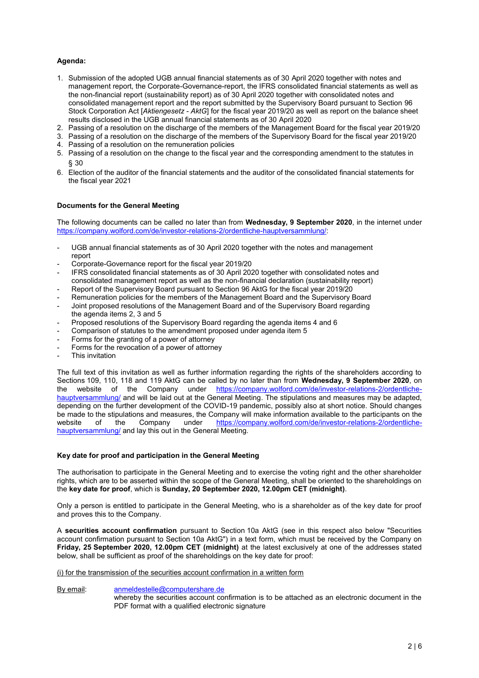# **Agenda:**

- 1. Submission of the adopted UGB annual financial statements as of 30 April 2020 together with notes and management report, the Corporate-Governance-report, the IFRS consolidated financial statements as well as the non-financial report (sustainability report) as of 30 April 2020 together with consolidated notes and consolidated management report and the report submitted by the Supervisory Board pursuant to Section 96 Stock Corporation Act [*Aktiengesetz - AktG*] for the fiscal year 2019/20 as well as report on the balance sheet results disclosed in the UGB annual financial statements as of 30 April 2020
- 2. Passing of a resolution on the discharge of the members of the Management Board for the fiscal year 2019/20
- 3. Passing of a resolution on the discharge of the members of the Supervisory Board for the fiscal year 2019/20
- 4. Passing of a resolution on the remuneration policies
- 5. Passing of a resolution on the change to the fiscal year and the corresponding amendment to the statutes in § 30
- 6. Election of the auditor of the financial statements and the auditor of the consolidated financial statements for the fiscal year 2021

## **Documents for the General Meeting**

The following documents can be called no later than from **Wednesday, 9 September 2020**, in the internet under [https://company.wolford.com/de/investor-relations-2/ordentliche-hauptversammlung/:](https://company.wolford.com/de/investor-relations-2/ordentliche-hauptversammlung/32-ordentliche-hauptversammlung-2/)

- UGB annual financial statements as of 30 April 2020 together with the notes and management report
- Corporate-Governance report for the fiscal year 2019/20
- IFRS consolidated financial statements as of 30 April 2020 together with consolidated notes and consolidated management report as well as the non-financial declaration (sustainability report)
- Report of the Supervisory Board pursuant to Section 96 AktG for the fiscal year 2019/20
- Remuneration policies for the members of the Management Board and the Supervisory Board
- Joint proposed resolutions of the Management Board and of the Supervisory Board regarding the agenda items 2, 3 and 5
- Proposed resolutions of the Supervisory Board regarding the agenda items 4 and 6
- Comparison of statutes to the amendment proposed under agenda item 5
- Forms for the granting of a power of attorney
- Forms for the revocation of a power of attorney
- This invitation

The full text of this invitation as well as further information regarding the rights of the shareholders according to Sections 109, 110, 118 and 119 AktG can be called by no later than from **Wednesday, 9 September 2020**, on the website of the Company under [https://company.wolford.com/de/investor-relations-2/ordentliche](https://company.wolford.com/de/investor-relations-2/ordentliche-hauptversammlung/32-ordentliche-hauptversammlung-2/)[hauptversammlung/](https://company.wolford.com/de/investor-relations-2/ordentliche-hauptversammlung/32-ordentliche-hauptversammlung-2/) and will be laid out at the General Meeting. The stipulations and measures may be adapted, depending on the further development of the COVID-19 pandemic, possibly also at short notice. Should changes be made to the stipulations and measures, the Company will make information available to the participants on the website of the Company under [https://company.wolford.com/de/investor-relations-2/ordentliche](https://company.wolford.com/de/investor-relations-2/ordentliche-hauptversammlung/32-ordentliche-hauptversammlung-2/)[hauptversammlung/](https://company.wolford.com/de/investor-relations-2/ordentliche-hauptversammlung/32-ordentliche-hauptversammlung-2/) and lay this out in the General Meeting.

# **Key date for proof and participation in the General Meeting**

The authorisation to participate in the General Meeting and to exercise the voting right and the other shareholder rights, which are to be asserted within the scope of the General Meeting, shall be oriented to the shareholdings on the **key date for proof**, which is **Sunday, 20 September 2020, 12.00pm CET (midnight)**.

Only a person is entitled to participate in the General Meeting, who is a shareholder as of the key date for proof and proves this to the Company.

A **securities account confirmation** pursuant to Section 10a AktG (see in this respect also below "Securities account confirmation pursuant to Section 10a AktG") in a text form, which must be received by the Company on **Friday, 25 September 2020, 12.00pm CET (midnight)** at the latest exclusively at one of the addresses stated below, shall be sufficient as proof of the shareholdings on the key date for proof:

### (i) for the transmission of the securities account confirmation in a written form

By email: [anmeldestelle@computershare.de](mailto:anmeldestelle@computershare.de)

whereby the securities account confirmation is to be attached as an electronic document in the PDF format with a qualified electronic signature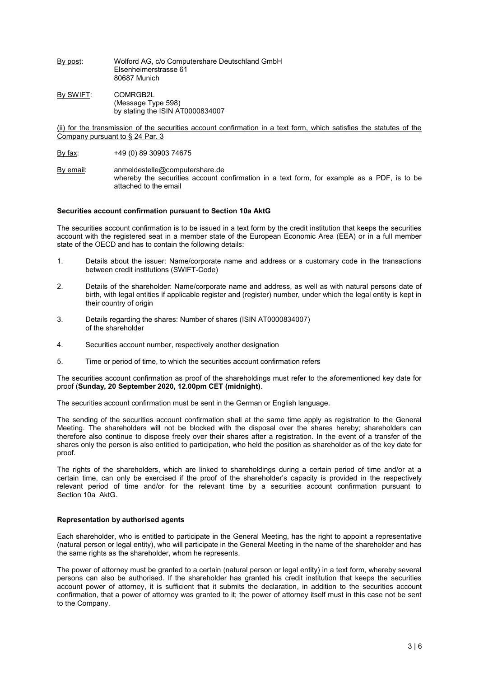By post: Wolford AG, c/o Computershare Deutschland GmbH Elsenheimerstrasse 61 80687 Munich

By SWIFT: COMRGB2L (Message Type 598) by stating the ISIN AT0000834007

(ii) for the transmission of the securities account confirmation in a text form, which satisfies the statutes of the Company pursuant to § 24 Par. 3

- By fax: +49 (0) 89 30903 74675
- By email: anmeldestelle@computershare.de whereby the securities account confirmation in a text form, for example as a PDF, is to be attached to the email

## **Securities account confirmation pursuant to Section 10a AktG**

The securities account confirmation is to be issued in a text form by the credit institution that keeps the securities account with the registered seat in a member state of the European Economic Area (EEA) or in a full member state of the OECD and has to contain the following details:

- 1. Details about the issuer: Name/corporate name and address or a customary code in the transactions between credit institutions (SWIFT-Code)
- 2. Details of the shareholder: Name/corporate name and address, as well as with natural persons date of birth, with legal entities if applicable register and (register) number, under which the legal entity is kept in their country of origin
- 3. Details regarding the shares: Number of shares (ISIN AT0000834007) of the shareholder
- 4. Securities account number, respectively another designation
- 5. Time or period of time, to which the securities account confirmation refers

The securities account confirmation as proof of the shareholdings must refer to the aforementioned key date for proof (**Sunday, 20 September 2020, 12.00pm CET (midnight)**.

The securities account confirmation must be sent in the German or English language.

The sending of the securities account confirmation shall at the same time apply as registration to the General Meeting. The shareholders will not be blocked with the disposal over the shares hereby; shareholders can therefore also continue to dispose freely over their shares after a registration. In the event of a transfer of the shares only the person is also entitled to participation, who held the position as shareholder as of the key date for proof.

The rights of the shareholders, which are linked to shareholdings during a certain period of time and/or at a certain time, can only be exercised if the proof of the shareholder's capacity is provided in the respectively relevant period of time and/or for the relevant time by a securities account confirmation pursuant to Section 10a AktG.

### **Representation by authorised agents**

Each shareholder, who is entitled to participate in the General Meeting, has the right to appoint a representative (natural person or legal entity), who will participate in the General Meeting in the name of the shareholder and has the same rights as the shareholder, whom he represents.

The power of attorney must be granted to a certain (natural person or legal entity) in a text form, whereby several persons can also be authorised. If the shareholder has granted his credit institution that keeps the securities account power of attorney, it is sufficient that it submits the declaration, in addition to the securities account confirmation, that a power of attorney was granted to it; the power of attorney itself must in this case not be sent to the Company.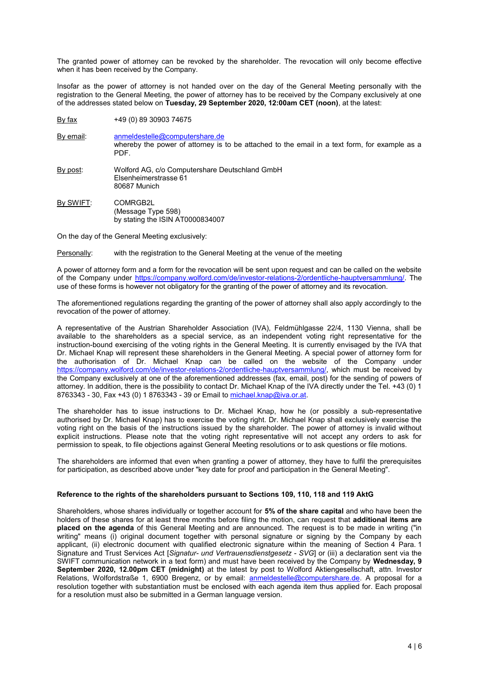The granted power of attorney can be revoked by the shareholder. The revocation will only become effective when it has been received by the Company.

Insofar as the power of attorney is not handed over on the day of the General Meeting personally with the registration to the General Meeting, the power of attorney has to be received by the Company exclusively at one of the addresses stated below on **Tuesday, 29 September 2020, 12:00am CET (noon)**, at the latest:

By fax +49 (0) 89 30903 74675

By email: anmeldestelle@computershare.de whereby the power of attorney is to be attached to the email in a text form, for example as a PDF.

- By post: Wolford AG, c/o Computershare Deutschland GmbH Elsenheimerstrasse 61 80687 Munich
- By SWIFT: COMRGB2L (Message Type 598) by stating the ISIN AT0000834007

On the day of the General Meeting exclusively:

Personally: with the registration to the General Meeting at the venue of the meeting

A power of attorney form and a form for the revocation will be sent upon request and can be called on the website of the Company under [https://company.wolford.com/de/investor-relations-2/ordentliche-hauptversammlung/.](https://company.wolford.com/de/investor-relations-2/ordentliche-hauptversammlung/32-ordentliche-hauptversammlung-2/) The use of these forms is however not obligatory for the granting of the power of attorney and its revocation.

The aforementioned regulations regarding the granting of the power of attorney shall also apply accordingly to the revocation of the power of attorney.

A representative of the Austrian Shareholder Association (IVA), Feldmühlgasse 22/4, 1130 Vienna, shall be available to the shareholders as a special service, as an independent voting right representative for the instruction-bound exercising of the voting rights in the General Meeting. It is currently envisaged by the IVA that Dr. Michael Knap will represent these shareholders in the General Meeting. A special power of attorney form for the authorisation of Dr. Michael Knap can be called on the website of the Company under [https://company.wolford.com/de/investor-relations-2/ordentliche-hauptversammlung/,](https://company.wolford.com/de/investor-relations-2/ordentliche-hauptversammlung/32-ordentliche-hauptversammlung-2/) which must be received by the Company exclusively at one of the aforementioned addresses (fax, email, post) for the sending of powers of attorney. In addition, there is the possibility to contact Dr. Michael Knap of the IVA directly under the Tel. +43 (0) 1 8763343 - 30, Fax +43 (0) 1 8763343 - 39 or Email to [michael.knap@iva.or.at.](mailto:michael.knap@iva.or.at)

The shareholder has to issue instructions to Dr. Michael Knap, how he (or possibly a sub-representative authorised by Dr. Michael Knap) has to exercise the voting right. Dr. Michael Knap shall exclusively exercise the voting right on the basis of the instructions issued by the shareholder. The power of attorney is invalid without explicit instructions. Please note that the voting right representative will not accept any orders to ask for permission to speak, to file objections against General Meeting resolutions or to ask questions or file motions.

The shareholders are informed that even when granting a power of attorney, they have to fulfil the prerequisites for participation, as described above under "key date for proof and participation in the General Meeting".

### **Reference to the rights of the shareholders pursuant to Sections 109, 110, 118 and 119 AktG**

Shareholders, whose shares individually or together account for **5% of the share capital** and who have been the holders of these shares for at least three months before filing the motion, can request that **additional items are placed on the agenda** of this General Meeting and are announced. The request is to be made in writing ("in writing" means (i) original document together with personal signature or signing by the Company by each applicant, (ii) electronic document with qualified electronic signature within the meaning of Section 4 Para. 1 Signature and Trust Services Act [*Signatur- und Vertrauensdienstgesetz - SVG*] or (iii) a declaration sent via the SWIFT communication network in a text form) and must have been received by the Company by **Wednesday, 9 September 2020, 12.00pm CET (midnight)** at the latest by post to Wolford Aktiengesellschaft, attn. Investor Relations, Wolfordstraße 1, 6900 Bregenz, or by email: [anmeldestelle@computershare.de.](mailto:anmeldestelle@computershare.de) A proposal for a resolution together with substantiation must be enclosed with each agenda item thus applied for. Each proposal for a resolution must also be submitted in a German language version.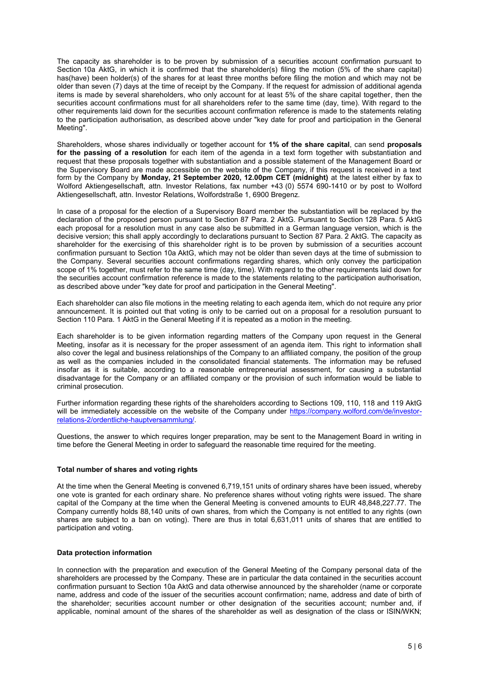The capacity as shareholder is to be proven by submission of a securities account confirmation pursuant to Section 10a AktG, in which it is confirmed that the shareholder(s) filing the motion (5% of the share capital) has(have) been holder(s) of the shares for at least three months before filing the motion and which may not be older than seven (7) days at the time of receipt by the Company. If the request for admission of additional agenda items is made by several shareholders, who only account for at least 5% of the share capital together, then the securities account confirmations must for all shareholders refer to the same time (day, time). With regard to the other requirements laid down for the securities account confirmation reference is made to the statements relating to the participation authorisation, as described above under "key date for proof and participation in the General Meeting".

Shareholders, whose shares individually or together account for **1% of the share capital**, can send **proposals for the passing of a resolution** for each item of the agenda in a text form together with substantiation and request that these proposals together with substantiation and a possible statement of the Management Board or the Supervisory Board are made accessible on the website of the Company, if this request is received in a text form by the Company by **Monday, 21 September 2020, 12.00pm CET (midnight)** at the latest either by fax to Wolford Aktiengesellschaft, attn. Investor Relations, fax number +43 (0) 5574 690-1410 or by post to Wolford Aktiengesellschaft, attn. Investor Relations, Wolfordstraße 1, 6900 Bregenz.

In case of a proposal for the election of a Supervisory Board member the substantiation will be replaced by the declaration of the proposed person pursuant to Section 87 Para. 2 AktG. Pursuant to Section 128 Para. 5 AktG each proposal for a resolution must in any case also be submitted in a German language version, which is the decisive version; this shall apply accordingly to declarations pursuant to Section 87 Para. 2 AktG. The capacity as shareholder for the exercising of this shareholder right is to be proven by submission of a securities account confirmation pursuant to Section 10a AktG, which may not be older than seven days at the time of submission to the Company. Several securities account confirmations regarding shares, which only convey the participation scope of 1% together, must refer to the same time (day, time). With regard to the other requirements laid down for the securities account confirmation reference is made to the statements relating to the participation authorisation, as described above under "key date for proof and participation in the General Meeting".

Each shareholder can also file motions in the meeting relating to each agenda item, which do not require any prior announcement. It is pointed out that voting is only to be carried out on a proposal for a resolution pursuant to Section 110 Para. 1 AktG in the General Meeting if it is repeated as a motion in the meeting.

Each shareholder is to be given information regarding matters of the Company upon request in the General Meeting, insofar as it is necessary for the proper assessment of an agenda item. This right to information shall also cover the legal and business relationships of the Company to an affiliated company, the position of the group as well as the companies included in the consolidated financial statements. The information may be refused insofar as it is suitable, according to a reasonable entrepreneurial assessment, for causing a substantial disadvantage for the Company or an affiliated company or the provision of such information would be liable to criminal prosecution.

Further information regarding these rights of the shareholders according to Sections 109, 110, 118 and 119 AktG will be immediately accessible on the website of the Company under [https://company.wolford.com/de/investor](https://company.wolford.com/de/investor-relations-2/ordentliche-hauptversammlung/32-ordentliche-hauptversammlung-2/)[relations-2/ordentliche-hauptversammlung/.](https://company.wolford.com/de/investor-relations-2/ordentliche-hauptversammlung/32-ordentliche-hauptversammlung-2/)

Questions, the answer to which requires longer preparation, may be sent to the Management Board in writing in time before the General Meeting in order to safeguard the reasonable time required for the meeting.

# **Total number of shares and voting rights**

At the time when the General Meeting is convened 6,719,151 units of ordinary shares have been issued, whereby one vote is granted for each ordinary share. No preference shares without voting rights were issued. The share capital of the Company at the time when the General Meeting is convened amounts to EUR 48,848,227.77. The Company currently holds 88,140 units of own shares, from which the Company is not entitled to any rights (own shares are subject to a ban on voting). There are thus in total 6,631,011 units of shares that are entitled to participation and voting.

### **Data protection information**

In connection with the preparation and execution of the General Meeting of the Company personal data of the shareholders are processed by the Company. These are in particular the data contained in the securities account confirmation pursuant to Section 10a AktG and data otherwise announced by the shareholder (name or corporate name, address and code of the issuer of the securities account confirmation; name, address and date of birth of the shareholder; securities account number or other designation of the securities account; number and, if applicable, nominal amount of the shares of the shareholder as well as designation of the class or ISIN/WKN;